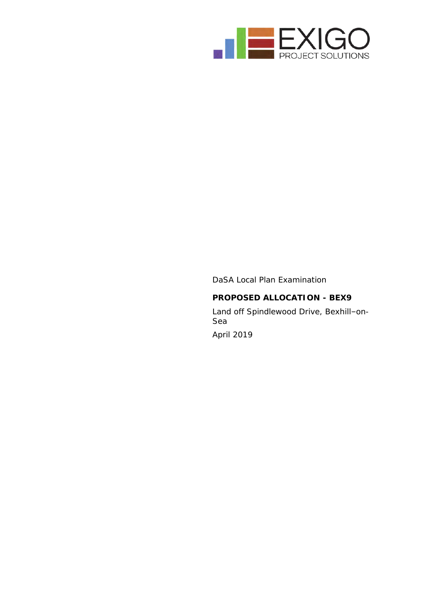

DaSA Local Plan Examination **PROPOSED ALLOCATION - BEX9** Land off Spindlewood Drive, Bexhill–on-Sea April 2019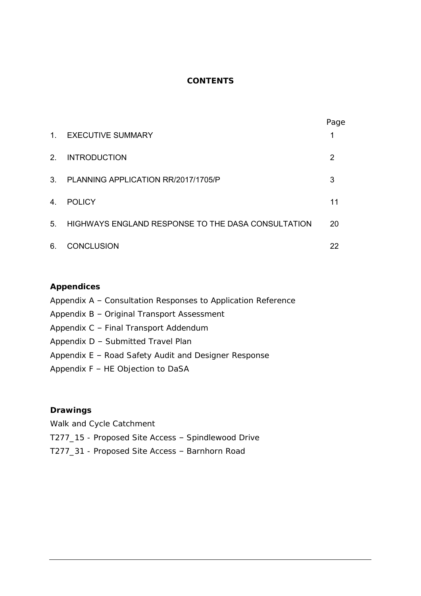# **CONTENTS**

|                |                                                    | Page |
|----------------|----------------------------------------------------|------|
| 1 <sup>1</sup> | <b>EXECUTIVE SUMMARY</b>                           |      |
| 2 <sup>2</sup> | <b>INTRODUCTION</b>                                | 2    |
| 3 <sub>1</sub> | PLANNING APPLICATION RR/2017/1705/P                | 3    |
| 4.             | <b>POLICY</b>                                      | 11   |
| 5 <sub>1</sub> | HIGHWAYS ENGLAND RESPONSE TO THE DASA CONSULTATION | 20   |
| 6.             | <b>CONCLUSION</b>                                  | 22   |

# **Appendices**

- Appendix A Consultation Responses to Application Reference
- Appendix B Original Transport Assessment
- Appendix C Final Transport Addendum
- Appendix D Submitted Travel Plan
- Appendix E Road Safety Audit and Designer Response
- Appendix F HE Objection to DaSA

**Drawings**

- Walk and Cycle Catchment
- T277\_15 Proposed Site Access Spindlewood Drive
- T277\_31 Proposed Site Access Barnhorn Road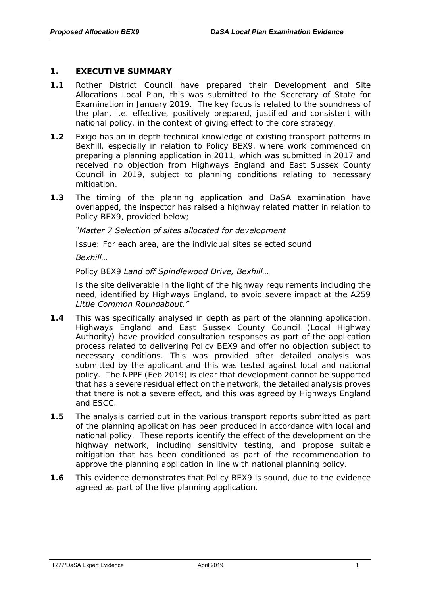# <span id="page-2-0"></span>**1. EXECUTIVE SUMMARY**

- **1.1** Rother District Council have prepared their Development and Site Allocations Local Plan, this was submitted to the Secretary of State for Examination in January 2019. The key focus is related to the soundness of the plan, i.e. effective, positively prepared, justified and consistent with national policy, in the context of giving effect to the core strategy.
- **1.2** Exigo has an in depth technical knowledge of existing transport patterns in Bexhill, especially in relation to Policy BEX9, where work commenced on preparing a planning application in 2011, which was submitted in 2017 and received no objection from Highways England and East Sussex County Council in 2019, subject to planning conditions relating to necessary mitigation.
- **1.3** The timing of the planning application and DaSA examination have overlapped, the inspector has raised a highway related matter in relation to Policy BEX9, provided below;

# *"Matter 7 Selection of sites allocated for development*

*Issue: For each area, are the individual sites selected sound*

#### *Bexhill…*

# *Policy BEX9 Land off Spindlewood Drive, Bexhill…*

*Is the site deliverable in the light of the highway requirements including the need, identified by Highways England, to avoid severe impact at the A259 Little Common Roundabout."*

- **1.4** This was specifically analysed in depth as part of the planning application. Highways England and East Sussex County Council (Local Highway Authority) have provided consultation responses as part of the application process related to delivering Policy BEX9 and offer no objection subject to necessary conditions. This was provided after detailed analysis was submitted by the applicant and this was tested against local and national policy. The NPPF (Feb 2019) is clear that development cannot be supported that has a severe residual effect on the network, the detailed analysis proves that there is not a severe effect, and this was agreed by Highways England and ESCC.
- **1.5** The analysis carried out in the various transport reports submitted as part of the planning application has been produced in accordance with local and national policy. These reports identify the effect of the development on the highway network, including sensitivity testing, and propose suitable mitigation that has been conditioned as part of the recommendation to approve the planning application in line with national planning policy.
- **1.6** This evidence demonstrates that Policy BEX9 is sound, due to the evidence agreed as part of the live planning application.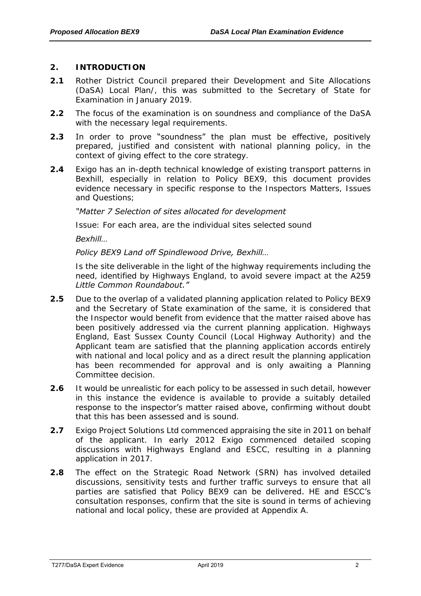# <span id="page-3-0"></span>**2. INTRODUCTION**

- **2.1** Rother District Council prepared their Development and Site Allocations (DaSA) Local Plan/, this was submitted to the Secretary of State for Examination in January 2019.
- **2.2** The focus of the examination is on soundness and compliance of the DaSA with the necessary legal requirements.
- **2.3** In order to prove "soundness" the plan must be effective, positively prepared, justified and consistent with national planning policy, in the context of giving effect to the core strategy.
- **2.4** Exigo has an in-depth technical knowledge of existing transport patterns in Bexhill, especially in relation to Policy BEX9, this document provides evidence necessary in specific response to the Inspectors Matters, Issues and Questions;

# *"Matter 7 Selection of sites allocated for development*

*Issue: For each area, are the individual sites selected sound*

*Bexhill…*

# *Policy BEX9 Land off Spindlewood Drive, Bexhill…*

*Is the site deliverable in the light of the highway requirements including the need, identified by Highways England, to avoid severe impact at the A259 Little Common Roundabout."*

- **2.5** Due to the overlap of a validated planning application related to Policy BEX9 and the Secretary of State examination of the same, it is considered that the Inspector would benefit from evidence that the matter raised above has been positively addressed via the current planning application. Highways England, East Sussex County Council (Local Highway Authority) and the Applicant team are satisfied that the planning application accords entirely with national and local policy and as a direct result the planning application has been recommended for approval and is only awaiting a Planning Committee decision.
- **2.6** It would be unrealistic for each policy to be assessed in such detail, however in this instance the evidence is available to provide a suitably detailed response to the inspector's matter raised above, confirming without doubt that this has been assessed and is sound.
- **2.7** Exigo Project Solutions Ltd commenced appraising the site in 2011 on behalf of the applicant. In early 2012 Exigo commenced detailed scoping discussions with Highways England and ESCC, resulting in a planning application in 2017.
- <span id="page-3-1"></span>**2.8** The effect on the Strategic Road Network (SRN) has involved detailed discussions, sensitivity tests and further traffic surveys to ensure that all parties are satisfied that Policy BEX9 can be delivered. HE and ESCC's consultation responses, confirm that the site is sound in terms of achieving national and local policy, these are provided at Appendix A.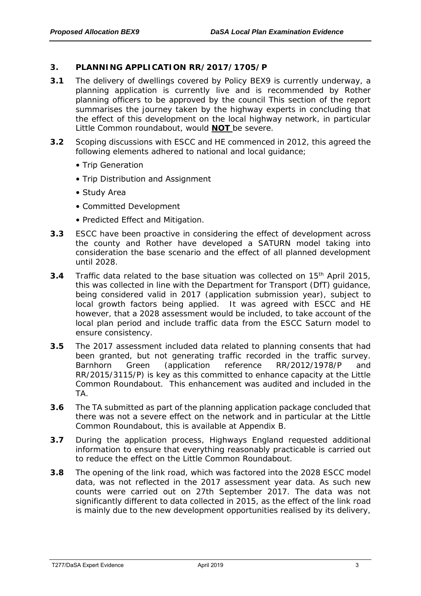# **3. PLANNING APPLICATION RR/2017/1705/P**

- **3.1** The delivery of dwellings covered by Policy BEX9 is currently underway, a planning application is currently live and is recommended by Rother planning officers to be approved by the council This section of the report summarises the journey taken by the highway experts in concluding that the effect of this development on the local highway network, in particular Little Common roundabout, would **NOT** be severe.
- **3.2** Scoping discussions with ESCC and HE commenced in 2012, this agreed the following elements adhered to national and local guidance;
	- Trip Generation
	- Trip Distribution and Assignment
	- Study Area
	- Committed Development
	- Predicted Effect and Mitigation.
- **3.3** ESCC have been proactive in considering the effect of development across the county and Rother have developed a SATURN model taking into consideration the base scenario and the effect of all planned development until 2028.
- **3.4** Traffic data related to the base situation was collected on 15th April 2015, this was collected in line with the Department for Transport (DfT) guidance, being considered valid in 2017 (application submission year), subject to local growth factors being applied. It was agreed with ESCC and HE however, that a 2028 assessment would be included, to take account of the local plan period and include traffic data from the ESCC Saturn model to ensure consistency.
- **3.5** The 2017 assessment included data related to planning consents that had been granted, but not generating traffic recorded in the traffic survey. Barnhorn Green (application reference RR/2012/1978/P and RR/2015/3115/P) is key as this committed to enhance capacity at the Little Common Roundabout. This enhancement was audited and included in the TA.
- **3.6** The TA submitted as part of the planning application package concluded that there was not a severe effect on the network and in particular at the Little Common Roundabout, this is available at Appendix B.
- **3.7** During the application process, Highways England requested additional information to ensure that everything reasonably practicable is carried out to reduce the effect on the Little Common Roundabout.
- **3.8** The opening of the link road, which was factored into the 2028 ESCC model data, was not reflected in the 2017 assessment year data. As such new counts were carried out on 27th September 2017. The data was not significantly different to data collected in 2015, as the effect of the link road is mainly due to the new development opportunities realised by its delivery,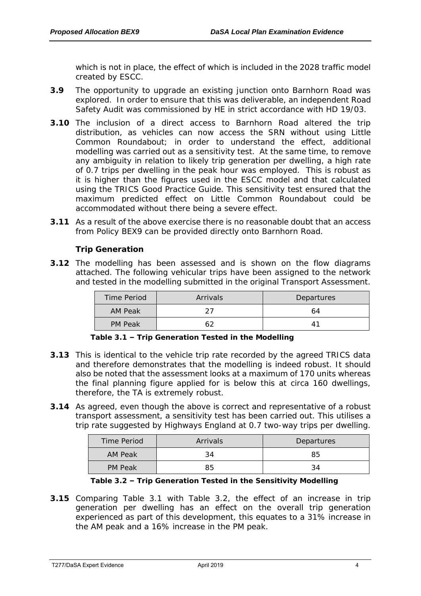which is not in place, the effect of which is included in the 2028 traffic model created by ESCC.

- **3.9** The opportunity to upgrade an existing junction onto Barnhorn Road was explored. In order to ensure that this was deliverable, an independent Road Safety Audit was commissioned by HE in strict accordance with HD 19/03.
- **3.10** The inclusion of a direct access to Barnhorn Road altered the trip distribution, as vehicles can now access the SRN without using Little Common Roundabout; in order to understand the effect, additional modelling was carried out as a sensitivity test. At the same time, to remove any ambiguity in relation to likely trip generation per dwelling, a high rate of 0.7 trips per dwelling in the peak hour was employed. This is robust as it is higher than the figures used in the ESCC model and that calculated using the TRICS Good Practice Guide. This sensitivity test ensured that the maximum predicted effect on Little Common Roundabout could be accommodated without there being a severe effect.
- **3.11** As a result of the above exercise there is no reasonable doubt that an access from Policy BEX9 can be provided directly onto Barnhorn Road.

**Trip Generation**

**3.12** The modelling has been assessed and is shown on the flow diagrams attached. The following vehicular trips have been assigned to the network and tested in the modelling submitted in the original Transport Assessment.

| Time Period | Arrivals | Departures |
|-------------|----------|------------|
| AM Peak     |          | 64         |
| PM Peak     |          | Δ.         |

**Table 3.1 – Trip Generation Tested in the Modelling**

- **3.13** This is identical to the vehicle trip rate recorded by the agreed TRICS data and therefore demonstrates that the modelling is indeed robust. It should also be noted that the assessment looks at a maximum of 170 units whereas the final planning figure applied for is below this at circa 160 dwellings, therefore, the TA is extremely robust.
- **3.14** As agreed, even though the above is correct and representative of a robust transport assessment, a sensitivity test has been carried out. This utilises a trip rate suggested by Highways England at 0.7 two-way trips per dwelling.

| Time Period | Arrivals | Departures |
|-------------|----------|------------|
| AM Peak     |          | 85         |
| PM Peak     | 85       |            |

**Table 3.2 – Trip Generation Tested in the Sensitivity Modelling**

**3.15** Comparing Table 3.1 with Table 3.2, the effect of an increase in trip generation per dwelling has an effect on the overall trip generation experienced as part of this development, this equates to a 31% increase in the AM peak and a 16% increase in the PM peak.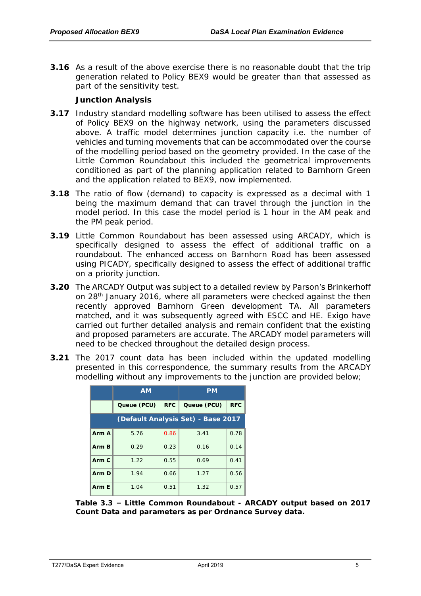**3.16** As a result of the above exercise there is no reasonable doubt that the trip generation related to Policy BEX9 would be greater than that assessed as part of the sensitivity test.

# **Junction Analysis**

- **3.17** Industry standard modelling software has been utilised to assess the effect of Policy BEX9 on the highway network, using the parameters discussed above. A traffic model determines junction capacity i.e. the number of vehicles and turning movements that can be accommodated over the course of the modelling period based on the geometry provided. In the case of the Little Common Roundabout this included the geometrical improvements conditioned as part of the planning application related to Barnhorn Green and the application related to BEX9, now implemented.
- **3.18** The ratio of flow (demand) to capacity is expressed as a decimal with 1 being the maximum demand that can travel through the junction in the model period. In this case the model period is 1 hour in the AM peak and the PM peak period.
- **3.19** Little Common Roundabout has been assessed using ARCADY, which is specifically designed to assess the effect of additional traffic on a roundabout. The enhanced access on Barnhorn Road has been assessed using PICADY, specifically designed to assess the effect of additional traffic on a priority junction.
- **3.20** The ARCADY Output was subject to a detailed review by Parson's Brinkerhoff on 28th January 2016, where all parameters were checked against the then recently approved Barnhorn Green development TA. All parameters matched, and it was subsequently agreed with ESCC and HE. Exigo have carried out further detailed analysis and remain confident that the existing and proposed parameters are accurate. The ARCADY model parameters will need to be checked throughout the detailed design process.
- **3.21** The 2017 count data has been included within the updated modelling presented in this correspondence, the summary results from the ARCADY modelling without any improvements to the junction are provided below;

|       | <b>AM</b>   |            | <b>PM</b>                          |            |
|-------|-------------|------------|------------------------------------|------------|
|       | Queue (PCU) | <b>RFC</b> | Queue (PCU)                        | <b>RFC</b> |
|       |             |            | (Default Analysis Set) - Base 2017 |            |
| Arm A | 5.76        | 0.86       | 3.41                               | 0.78       |
| Arm B | 0.29        | 0.23       | 0.16                               | 0.14       |
| Arm C | 1.22        | 0.55       | 0.69                               | 0.41       |
| Arm D | 1.94        | 0.66       | 1.27                               | 0.56       |
| Arm F | 1.04        | 0.51       | 1.32                               | 0.57       |

**Table 3.3 – Little Common Roundabout - ARCADY output based on 2017 Count Data and parameters as per Ordnance Survey data.**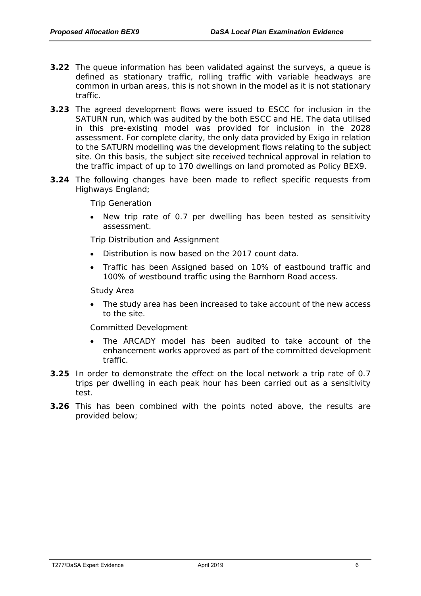- **3.22** The queue information has been validated against the surveys, a queue is defined as stationary traffic, rolling traffic with variable headways are common in urban areas, this is not shown in the model as it is not stationary traffic.
- **3.23** The agreed development flows were issued to ESCC for inclusion in the SATURN run, which was audited by the both ESCC and HE. The data utilised in this pre-existing model was provided for inclusion in the 2028 assessment. For complete clarity, the only data provided by Exigo in relation to the SATURN modelling was the development flows relating to the subject site. On this basis, the subject site received technical approval in relation to the traffic impact of up to 170 dwellings on land promoted as Policy BEX9.
- **3.24** The following changes have been made to reflect specific requests from Highways England;

*Trip Generation*

• New trip rate of 0.7 per dwelling has been tested as sensitivity assessment.

*Trip Distribution and Assignment*

- Distribution is now based on the 2017 count data.
- *Traffic has been Assigned based on 10% of eastbound traffic and 100% of westbound traffic using the Barnhorn Road access.*

#### *Study Area*

• The study area has been increased to take account of the new access to the site.

#### *Committed Development*

- The ARCADY model has been audited to take account of the enhancement works approved as part of the committed development traffic.
- **3.25** In order to demonstrate the effect on the local network a trip rate of 0.7 trips per dwelling in each peak hour has been carried out as a sensitivity test.
- **3.26** This has been combined with the points noted above, the results are provided below;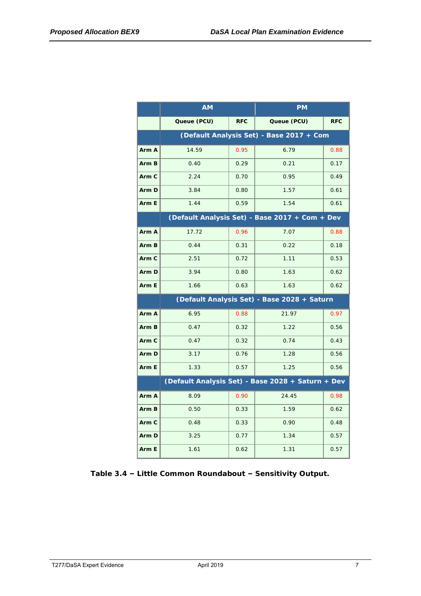|       | <b>AM</b>   |            | <b>PM</b>                                         |            |
|-------|-------------|------------|---------------------------------------------------|------------|
|       | Queue (PCU) | <b>RFC</b> | Queue (PCU)                                       | <b>RFC</b> |
|       |             |            | (Default Analysis Set) - Base 2017 + Com          |            |
| Arm A | 14.59       | 0.95       | 6.79                                              | 0.88       |
| Arm B | 0.40        | 0.29       | 0.21                                              | 0.17       |
| Arm C | 2.24        | 0.70       | 0.95                                              | 0.49       |
| Arm D | 3.84        | 0.80       | 1.57                                              | 0.61       |
| Arm E | 1.44        | 0.59       | 1.54                                              | 0.61       |
|       |             |            | (Default Analysis Set) - Base 2017 + Com + Dev    |            |
| Arm A | 17.72       | 0.96       | 7.07                                              | 0.88       |
| Arm B | 0.44        | 0.31       | 0.22                                              | 0.18       |
| Arm C | 2.51        | 0.72       | 1.11                                              | 0.53       |
| Arm D | 3.94        | 0.80       | 1.63                                              | 0.62       |
| Arm E | 1.66        | 0.63       | 1.63                                              | 0.62       |
|       |             |            | (Default Analysis Set) - Base 2028 + Saturn       |            |
| Arm A | 6.95        | 0.88       | 21.97                                             | 0.97       |
| Arm B | 0.47        | 0.32       | 1.22                                              | 0.56       |
| Arm C | 0.47        | 0.32       | 0.74                                              | 0.43       |
| Arm D | 3.17        | 0.76       | 1.28                                              | 0.56       |
| Arm E | 1.33        | 0.57       | 1.25                                              | 0.56       |
|       |             |            | (Default Analysis Set) - Base 2028 + Saturn + Dev |            |
| Arm A | 8.09        | 0.90       | 24.45                                             | 0.98       |
| Arm B | 0.50        | 0.33       | 1.59                                              | 0.62       |
| Arm C | 0.48        | 0.33       | 0.90                                              | 0.48       |
| Arm D | 3.25        | 0.77       | 1.34                                              | 0.57       |
| Arm E | 1.61        | 0.62       | 1.31                                              | 0.57       |

**Table 3.4 – Little Common Roundabout – Sensitivity Output.**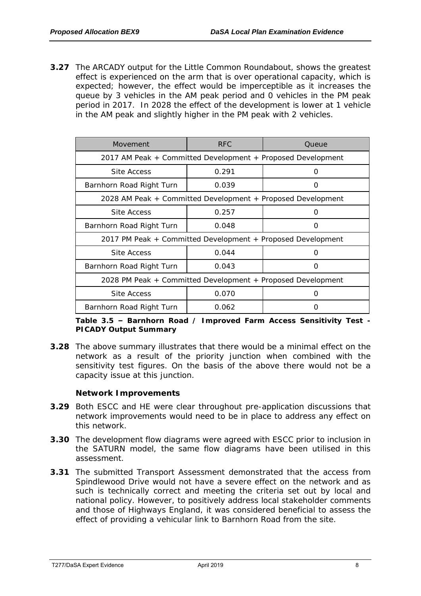**3.27** The ARCADY output for the Little Common Roundabout, shows the greatest effect is experienced on the arm that is over operational capacity, which is expected; however, the effect would be imperceptible as it increases the queue by 3 vehicles in the AM peak period and 0 vehicles in the PM peak period in 2017. In 2028 the effect of the development is lower at 1 vehicle in the AM peak and slightly higher in the PM peak with 2 vehicles.

| Movement                                                    | <b>RFC</b> | Queue |  |  |
|-------------------------------------------------------------|------------|-------|--|--|
| 2017 AM Peak + Committed Development + Proposed Development |            |       |  |  |
| Site Access                                                 | 0.291      |       |  |  |
| Barnhorn Road Right Turn                                    | 0.039      |       |  |  |
| 2028 AM Peak + Committed Development + Proposed Development |            |       |  |  |
| Site Access                                                 | 0.257      |       |  |  |
| Barnhorn Road Right Turn                                    | 0.048      | 〔 〕   |  |  |
| 2017 PM Peak + Committed Development + Proposed Development |            |       |  |  |
| Site Access                                                 | 0.044      |       |  |  |
| Barnhorn Road Right Turn                                    | 0.043      |       |  |  |
| 2028 PM Peak + Committed Development + Proposed Development |            |       |  |  |
| Site Access                                                 | 0.070      |       |  |  |
| Barnhorn Road Right Turn                                    | 0.062      |       |  |  |

**Table 3.5 – Barnhorn Road / Improved Farm Access Sensitivity Test - PICADY Output Summary**

**3.28** The above summary illustrates that there would be a minimal effect on the network as a result of the priority junction when combined with the sensitivity test figures. On the basis of the above there would not be a capacity issue at this junction.

**Network Improvements**

- **3.29** Both ESCC and HE were clear throughout pre-application discussions that network improvements would need to be in place to address any effect on this network.
- **3.30** The development flow diagrams were agreed with ESCC prior to inclusion in the SATURN model, the same flow diagrams have been utilised in this assessment.
- **3.31** The submitted Transport Assessment demonstrated that the access from Spindlewood Drive would not have a severe effect on the network and as such is technically correct and meeting the criteria set out by local and national policy. However, to positively address local stakeholder comments and those of Highways England, it was considered beneficial to assess the effect of providing a vehicular link to Barnhorn Road from the site.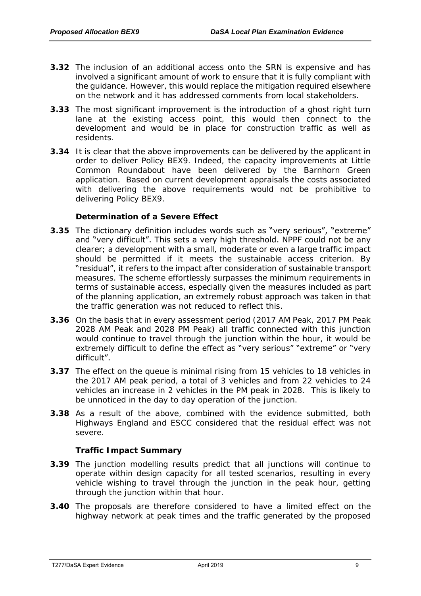- **3.32** The inclusion of an additional access onto the SRN is expensive and has involved a significant amount of work to ensure that it is fully compliant with the guidance. However, this would replace the mitigation required elsewhere on the network and it has addressed comments from local stakeholders.
- **3.33** The most significant improvement is the introduction of a ghost right turn lane at the existing access point, this would then connect to the development and would be in place for construction traffic as well as residents.
- **3.34** It is clear that the above improvements can be delivered by the applicant in order to deliver Policy BEX9. Indeed, the capacity improvements at Little Common Roundabout have been delivered by the Barnhorn Green application. Based on current development appraisals the costs associated with delivering the above requirements would not be prohibitive to delivering Policy BEX9.

**Determination of a Severe Effect**

- **3.35** The dictionary definition includes words such as "very serious", "extreme" and "very difficult". This sets a very high threshold. NPPF could not be any clearer; a development with a small, moderate or even a large traffic impact should be permitted if it meets the sustainable access criterion. By "residual", it refers to the impact after consideration of sustainable transport measures. The scheme effortlessly surpasses the minimum requirements in terms of sustainable access, especially given the measures included as part of the planning application, an extremely robust approach was taken in that the traffic generation was not reduced to reflect this.
- **3.36** On the basis that in every assessment period (2017 AM Peak, 2017 PM Peak 2028 AM Peak and 2028 PM Peak) all traffic connected with this junction would continue to travel through the junction within the hour, it would be extremely difficult to define the effect as "very serious" "extreme" or "very difficult".
- **3.37** The effect on the queue is minimal rising from 15 vehicles to 18 vehicles in the 2017 AM peak period, a total of 3 vehicles and from 22 vehicles to 24 vehicles an increase in 2 vehicles in the PM peak in 2028. This is likely to be unnoticed in the day to day operation of the junction.
- **3.38** As a result of the above, combined with the evidence submitted, both Highways England and ESCC considered that the residual effect was not severe.

**Traffic Impact Summary**

- **3.39** The junction modelling results predict that all junctions will continue to operate within design capacity for all tested scenarios, resulting in every vehicle wishing to travel through the junction in the peak hour, getting through the junction within that hour.
- **3.40** The proposals are therefore considered to have a limited effect on the highway network at peak times and the traffic generated by the proposed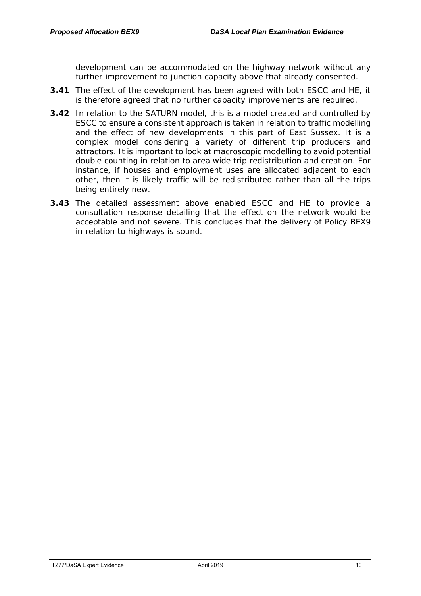development can be accommodated on the highway network without any further improvement to junction capacity above that already consented.

- **3.41** The effect of the development has been agreed with both ESCC and HE, it is therefore agreed that no further capacity improvements are required.
- **3.42** In relation to the SATURN model, this is a model created and controlled by ESCC to ensure a consistent approach is taken in relation to traffic modelling and the effect of new developments in this part of East Sussex. It is a complex model considering a variety of different trip producers and attractors. It is important to look at macroscopic modelling to avoid potential double counting in relation to area wide trip redistribution and creation. For instance, if houses and employment uses are allocated adjacent to each other, then it is likely traffic will be redistributed rather than all the trips being entirely new.
- **3.43** The detailed assessment above enabled ESCC and HE to provide a consultation response detailing that the effect on the network would be acceptable and not severe. This concludes that the delivery of Policy BEX9 in relation to highways is sound.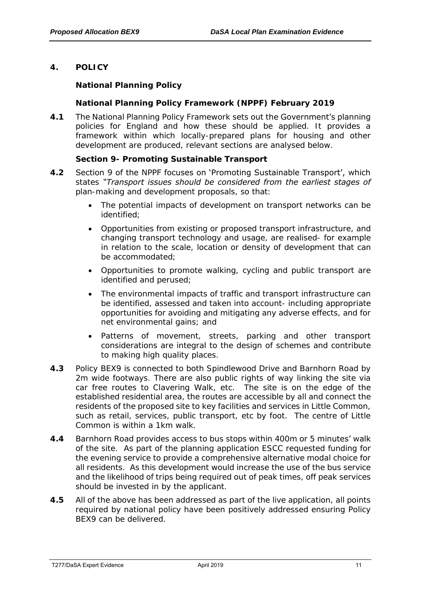<span id="page-12-0"></span>**4. POLICY** 

**National Planning Policy**

**National Planning Policy Framework (NPPF) February 2019** 

**4.1** The National Planning Policy Framework sets out the Government's planning policies for England and how these should be applied. It provides a framework within which locally-prepared plans for housing and other development are produced, relevant sections are analysed below.

**Section 9- Promoting Sustainable Transport** 

- **4.2** Section 9 of the NPPF focuses on 'Promoting Sustainable Transport', which states *"Transport issues should be considered from the earliest stages of plan-making and development proposals, so that:*
	- *The potential impacts of development on transport networks can be identified;*
	- *Opportunities from existing or proposed transport infrastructure, and changing transport technology and usage, are realised- for example in relation to the scale, location or density of development that can be accommodated;*
	- *Opportunities to promote walking, cycling and public transport are identified and perused;*
	- *The environmental impacts of traffic and transport infrastructure can be identified, assessed and taken into account- including appropriate opportunities for avoiding and mitigating any adverse effects, and for net environmental gains; and*
	- *Patterns of movement, streets, parking and other transport considerations are integral to the design of schemes and contribute to making high quality places.*
- **4.3** Policy BEX9 is connected to both Spindlewood Drive and Barnhorn Road by 2m wide footways. There are also public rights of way linking the site via car free routes to Clavering Walk, etc. The site is on the edge of the established residential area, the routes are accessible by all and connect the residents of the proposed site to key facilities and services in Little Common, such as retail, services, public transport, etc by foot. The centre of Little Common is within a 1km walk.
- **4.4** Barnhorn Road provides access to bus stops within 400m or 5 minutes' walk of the site. As part of the planning application ESCC requested funding for the evening service to provide a comprehensive alternative modal choice for all residents. As this development would increase the use of the bus service and the likelihood of trips being required out of peak times, off peak services should be invested in by the applicant.
- **4.5** All of the above has been addressed as part of the live application, all points required by national policy have been positively addressed ensuring Policy BEX9 can be delivered.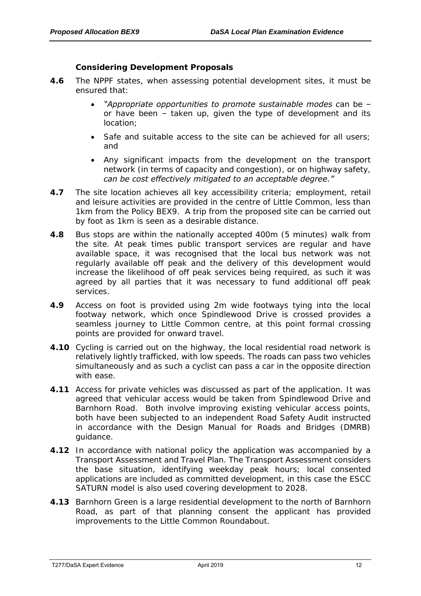**Considering Development Proposals**

- **4.6** The NPPF states, when assessing potential development sites, it must be ensured that:
	- *"Appropriate opportunities to promote sustainable modes can be – or have been – taken up, given the type of development and its location;*
	- *Safe and suitable access to the site can be achieved for all users; and*
	- *Any significant impacts from the development on the transport network (in terms of capacity and congestion), or on highway safety, can be cost effectively mitigated to an acceptable degree."*
- **4.7** The site location achieves all key accessibility criteria; employment, retail and leisure activities are provided in the centre of Little Common, less than 1km from the Policy BEX9. A trip from the proposed site can be carried out by foot as 1km is seen as a desirable distance.
- **4.8** Bus stops are within the nationally accepted 400m (5 minutes) walk from the site. At peak times public transport services are regular and have available space, it was recognised that the local bus network was not regularly available off peak and the delivery of this development would increase the likelihood of off peak services being required, as such it was agreed by all parties that it was necessary to fund additional off peak services.
- **4.9** Access on foot is provided using 2m wide footways tying into the local footway network, which once Spindlewood Drive is crossed provides a seamless journey to Little Common centre, at this point formal crossing points are provided for onward travel.
- **4.10** Cycling is carried out on the highway, the local residential road network is relatively lightly trafficked, with low speeds. The roads can pass two vehicles simultaneously and as such a cyclist can pass a car in the opposite direction with ease.
- **4.11** Access for private vehicles was discussed as part of the application. It was agreed that vehicular access would be taken from Spindlewood Drive and Barnhorn Road. Both involve improving existing vehicular access points, both have been subjected to an independent Road Safety Audit instructed in accordance with the Design Manual for Roads and Bridges (DMRB) guidance.
- **4.12** In accordance with national policy the application was accompanied by a Transport Assessment and Travel Plan. The Transport Assessment considers the base situation, identifying weekday peak hours; local consented applications are included as committed development, in this case the ESCC SATURN model is also used covering development to 2028.
- **4.13** Barnhorn Green is a large residential development to the north of Barnhorn Road, as part of that planning consent the applicant has provided improvements to the Little Common Roundabout.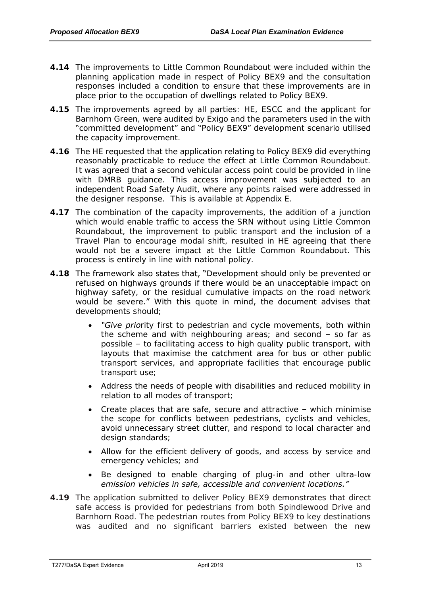- **4.14** The improvements to Little Common Roundabout were included within the planning application made in respect of Policy BEX9 and the consultation responses included a condition to ensure that these improvements are in place prior to the occupation of dwellings related to Policy BEX9.
- **4.15** The improvements agreed by all parties: HE, ESCC and the applicant for Barnhorn Green, were audited by Exigo and the parameters used in the with "committed development" and "Policy BEX9" development scenario utilised the capacity improvement.
- **4.16** The HE requested that the application relating to Policy BEX9 did everything reasonably practicable to reduce the effect at Little Common Roundabout. It was agreed that a second vehicular access point could be provided in line with DMRB guidance. This access improvement was subjected to an independent Road Safety Audit, where any points raised were addressed in the designer response. This is available at Appendix E.
- **4.17** The combination of the capacity improvements, the addition of a junction which would enable traffic to access the SRN without using Little Common Roundabout, the improvement to public transport and the inclusion of a Travel Plan to encourage modal shift, resulted in HE agreeing that there would not be a severe impact at the Little Common Roundabout. This process is entirely in line with national policy.
- **4.18** The framework also states that, "Development should only be prevented or refused on highways grounds if there would be an unacceptable impact on highway safety, or the residual cumulative impacts on the road network would be severe." With this quote in mind, the document advises that developments should;
	- *"Give priority first to pedestrian and cycle movements, both within the scheme and with neighbouring areas; and second - so far as possible – to facilitating access to high quality public transport, with layouts that maximise the catchment area for bus or other public transport services, and appropriate facilities that encourage public transport use;*
	- *Address the needs of people with disabilities and reduced mobility in relation to all modes of transport;*
	- *Create places that are safe, secure and attractive which minimise the scope for conflicts between pedestrians, cyclists and vehicles, avoid unnecessary street clutter, and respond to local character and design standards;*
	- *Allow for the efficient delivery of goods, and access by service and emergency vehicles; and*
	- *Be designed to enable charging of plug-in and other ultra-low emission vehicles in safe, accessible and convenient locations."*
- **4.19** The application submitted to deliver Policy BEX9 demonstrates that direct safe access is provided for pedestrians from both Spindlewood Drive and Barnhorn Road. The pedestrian routes from Policy BEX9 to key destinations was audited and no significant barriers existed between the new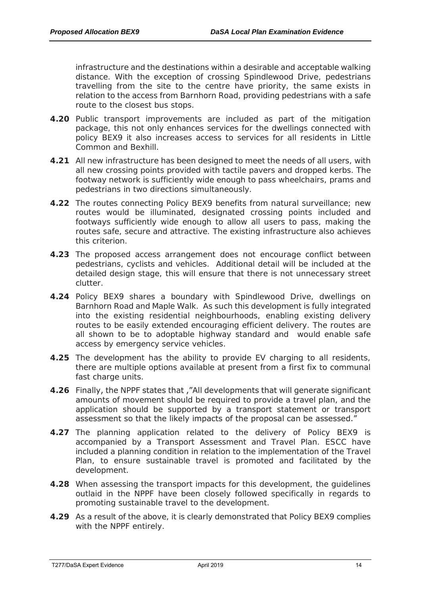infrastructure and the destinations within a desirable and acceptable walking distance. With the exception of crossing Spindlewood Drive, pedestrians travelling from the site to the centre have priority, the same exists in relation to the access from Barnhorn Road, providing pedestrians with a safe route to the closest bus stops.

- **4.20** Public transport improvements are included as part of the mitigation package, this not only enhances services for the dwellings connected with policy BEX9 it also increases access to services for all residents in Little Common and Bexhill.
- **4.21** All new infrastructure has been designed to meet the needs of all users, with all new crossing points provided with tactile pavers and dropped kerbs. The footway network is sufficiently wide enough to pass wheelchairs, prams and pedestrians in two directions simultaneously.
- **4.22** The routes connecting Policy BEX9 benefits from natural surveillance; new routes would be illuminated, designated crossing points included and footways sufficiently wide enough to allow all users to pass, making the routes safe, secure and attractive. The existing infrastructure also achieves this criterion.
- **4.23** The proposed access arrangement does not encourage conflict between pedestrians, cyclists and vehicles. Additional detail will be included at the detailed design stage, this will ensure that there is not unnecessary street clutter.
- **4.24** Policy BEX9 shares a boundary with Spindlewood Drive, dwellings on Barnhorn Road and Maple Walk. As such this development is fully integrated into the existing residential neighbourhoods, enabling existing delivery routes to be easily extended encouraging efficient delivery. The routes are all shown to be to adoptable highway standard and would enable safe access by emergency service vehicles.
- **4.25** The development has the ability to provide EV charging to all residents, there are multiple options available at present from a first fix to communal fast charge units.
- **4.26** Finally, the NPPF states that ,"All developments that will generate significant amounts of movement should be required to provide a travel plan, and the application should be supported by a transport statement or transport assessment so that the likely impacts of the proposal can be assessed."
- **4.27** The planning application related to the delivery of Policy BEX9 is accompanied by a Transport Assessment and Travel Plan. ESCC have included a planning condition in relation to the implementation of the Travel Plan, to ensure sustainable travel is promoted and facilitated by the development.
- **4.28** When assessing the transport impacts for this development, the guidelines outlaid in the NPPF have been closely followed specifically in regards to promoting sustainable travel to the development.
- **4.29** As a result of the above, it is clearly demonstrated that Policy BEX9 complies with the NPPF entirely.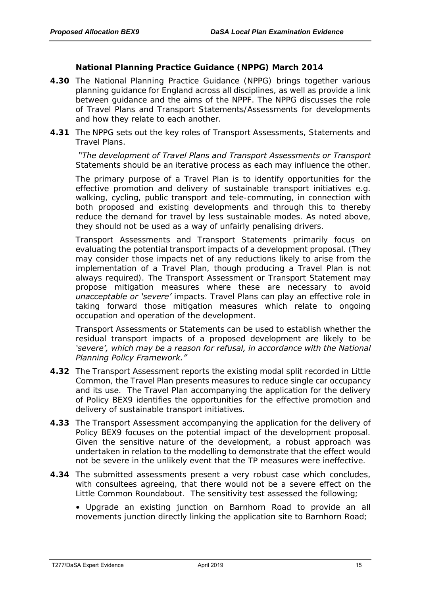**National Planning Practice Guidance (NPPG) March 2014**

- **4.30** The National Planning Practice Guidance (NPPG) brings together various planning guidance for England across all disciplines, as well as provide a link between guidance and the aims of the NPPF. The NPPG discusses the role of Travel Plans and Transport Statements/Assessments for developments and how they relate to each another.
- **4.31** The NPPG sets out the key roles of Transport Assessments, Statements and Travel Plans.

*"The development of Travel Plans and Transport Assessments or Transport Statements should be an iterative process as each may influence the other.*

*The primary purpose of a Travel Plan is to identify opportunities for the effective promotion and delivery of sustainable transport initiatives e.g. walking, cycling, public transport and tele-commuting, in connection with both proposed and existing developments and through this to thereby reduce the demand for travel by less sustainable modes. As noted above, they should not be used as a way of unfairly penalising drivers.*

*Transport Assessments and Transport Statements primarily focus on evaluating the potential transport impacts of a development proposal. (They may consider those impacts net of any reductions likely to arise from the implementation of a Travel Plan, though producing a Travel Plan is not always required). The Transport Assessment or Transport Statement may propose mitigation measures where these are necessary to avoid unacceptable or 'severe' impacts. Travel Plans can play an effective role in*  taking forward those mitigation measures which relate to ongoing *occupation and operation of the development.* 

*Transport Assessments or Statements can be used to establish whether the residual transport impacts of a proposed development are likely to be 'severe', which may be a reason for refusal, in accordance with the National Planning Policy Framework."*

- **4.32** The Transport Assessment reports the existing modal split recorded in Little Common, the Travel Plan presents measures to reduce single car occupancy and its use. The Travel Plan accompanying the application for the delivery of Policy BEX9 identifies the opportunities for the effective promotion and delivery of sustainable transport initiatives.
- **4.33** The Transport Assessment accompanying the application for the delivery of Policy BEX9 focuses on the potential impact of the development proposal. Given the sensitive nature of the development, a robust approach was undertaken in relation to the modelling to demonstrate that the effect would not be severe in the unlikely event that the TP measures were ineffective.
- **4.34** The submitted assessments present a very robust case which concludes, with consultees agreeing, that there would not be a severe effect on the Little Common Roundabout. The sensitivity test assessed the following;
	- Upgrade an existing junction on Barnhorn Road to provide an all movements junction directly linking the application site to Barnhorn Road;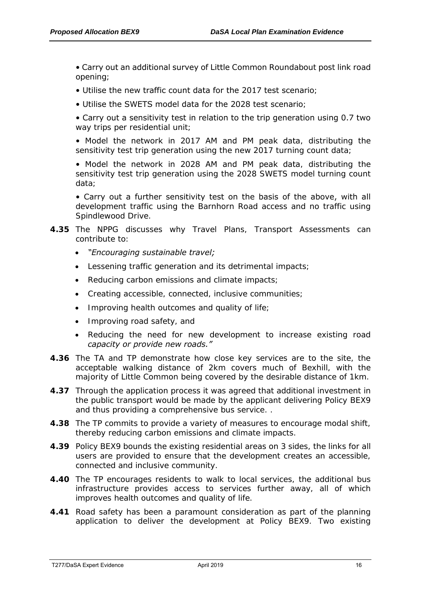• Carry out an additional survey of Little Common Roundabout post link road opening;

- Utilise the new traffic count data for the 2017 test scenario;
- Utilise the SWETS model data for the 2028 test scenario;

• Carry out a sensitivity test in relation to the trip generation using 0.7 two way trips per residential unit;

• Model the network in 2017 AM and PM peak data, distributing the sensitivity test trip generation using the new 2017 turning count data;

• Model the network in 2028 AM and PM peak data, distributing the sensitivity test trip generation using the 2028 SWETS model turning count data;

• Carry out a further sensitivity test on the basis of the above, with all development traffic using the Barnhorn Road access and no traffic using Spindlewood Drive.

# **4.35** The NPPG discusses why Travel Plans, Transport Assessments can contribute to:

- *"Encouraging sustainable travel;*
- *Lessening traffic generation and its detrimental impacts;*
- *Reducing carbon emissions and climate impacts;*
- *Creating accessible, connected, inclusive communities;*
- *Improving health outcomes and quality of life;*
- *Improving road safety, and*
- *Reducing the need for new development to increase existing road capacity or provide new roads."*
- **4.36** The TA and TP demonstrate how close key services are to the site, the acceptable walking distance of 2km covers much of Bexhill, with the majority of Little Common being covered by the desirable distance of 1km.
- **4.37** Through the application process it was agreed that additional investment in the public transport would be made by the applicant delivering Policy BEX9 and thus providing a comprehensive bus service. .
- **4.38** The TP commits to provide a variety of measures to encourage modal shift, thereby reducing carbon emissions and climate impacts.
- **4.39** Policy BEX9 bounds the existing residential areas on 3 sides, the links for all users are provided to ensure that the development creates an accessible, connected and inclusive community.
- **4.40** The TP encourages residents to walk to local services, the additional bus infrastructure provides access to services further away, all of which improves health outcomes and quality of life.
- **4.41** Road safety has been a paramount consideration as part of the planning application to deliver the development at Policy BEX9. Two existing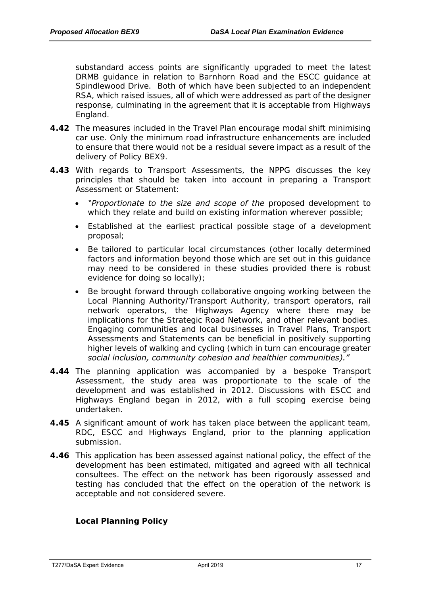substandard access points are significantly upgraded to meet the latest DRMB guidance in relation to Barnhorn Road and the ESCC guidance at Spindlewood Drive. Both of which have been subjected to an independent RSA, which raised issues, all of which were addressed as part of the designer response, culminating in the agreement that it is acceptable from Highways England.

- **4.42** The measures included in the Travel Plan encourage modal shift minimising car use. Only the minimum road infrastructure enhancements are included to ensure that there would not be a residual severe impact as a result of the delivery of Policy BEX9.
- **4.43** With regards to Transport Assessments, the NPPG discusses the key principles that should be taken into account in preparing a Transport Assessment or Statement:
	- *"Proportionate to the size and scope of the proposed development to which they relate and build on existing information wherever possible;*
	- *Established at the earliest practical possible stage of a development proposal;*
	- *Be tailored to particular local circumstances (other locally determined factors and information beyond those which are set out in this guidance may need to be considered in these studies provided there is robust evidence for doing so locally);*
	- *Be brought forward through collaborative ongoing working between the Local Planning Authority/Transport Authority, transport operators, rail network operators, the Highways Agency where there may be implications for the Strategic Road Network, and other relevant bodies. Engaging communities and local businesses in Travel Plans, Transport Assessments and Statements can be beneficial in positively supporting higher levels of walking and cycling (which in turn can encourage greater social inclusion, community cohesion and healthier communities)."*
- **4.44** The planning application was accompanied by a bespoke Transport Assessment, the study area was proportionate to the scale of the development and was established in 2012. Discussions with ESCC and Highways England began in 2012, with a full scoping exercise being undertaken.
- **4.45** A significant amount of work has taken place between the applicant team, RDC, ESCC and Highways England, prior to the planning application submission.
- **4.46** This application has been assessed against national policy, the effect of the development has been estimated, mitigated and agreed with all technical consultees. The effect on the network has been rigorously assessed and testing has concluded that the effect on the operation of the network is acceptable and not considered severe.

**Local Planning Policy**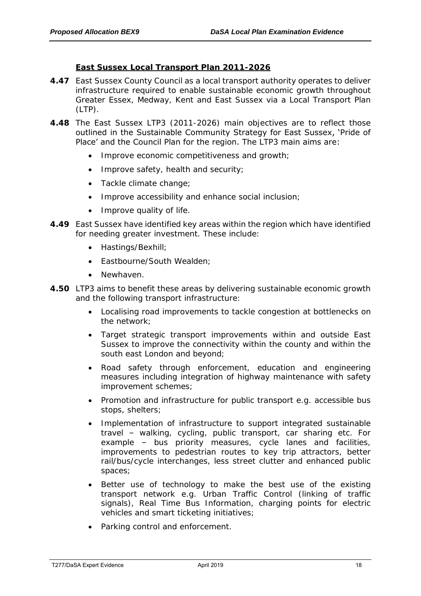#### **East Sussex Local Transport Plan 2011-2026**

- **4.47** East Sussex County Council as a local transport authority operates to deliver infrastructure required to enable sustainable economic growth throughout Greater Essex, Medway, Kent and East Sussex via a Local Transport Plan  $(LTP)$ .
- **4.48** The East Sussex LTP3 (2011-2026) main objectives are to reflect those outlined in the Sustainable Community Strategy for East Sussex, 'Pride of Place' and the Council Plan for the region. The LTP3 main aims are:
	- Improve economic competitiveness and growth;
	- Improve safety, health and security;
	- Tackle climate change;
	- Improve accessibility and enhance social inclusion;
	- Improve quality of life.
- **4.49** East Sussex have identified key areas within the region which have identified for needing greater investment. These include:
	- Hastings/Bexhill;
	- Eastbourne/South Wealden:
	- Newhaven.
- **4.50** LTP3 aims to benefit these areas by delivering sustainable economic growth and the following transport infrastructure:
	- Localising road improvements to tackle congestion at bottlenecks on the network;
	- Target strategic transport improvements within and outside East Sussex to improve the connectivity within the county and within the south east London and beyond;
	- Road safety through enforcement, education and engineering measures including integration of highway maintenance with safety improvement schemes;
	- Promotion and infrastructure for public transport e.g. accessible bus stops, shelters;
	- Implementation of infrastructure to support integrated sustainable travel – walking, cycling, public transport, car sharing etc. For example – bus priority measures, cycle lanes and facilities, improvements to pedestrian routes to key trip attractors, better rail/bus/cycle interchanges, less street clutter and enhanced public spaces;
	- Better use of technology to make the best use of the existing transport network e.g. Urban Traffic Control (linking of traffic signals), Real Time Bus Information, charging points for electric vehicles and smart ticketing initiatives;
	- Parking control and enforcement.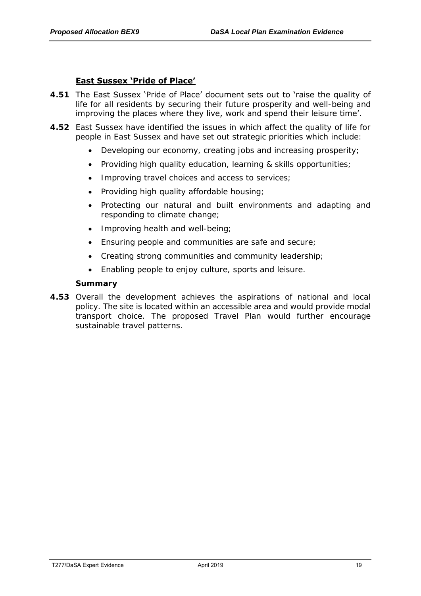# **East Sussex 'Pride of Place'**

- **4.51** The East Sussex 'Pride of Place' document sets out to 'raise the quality of life for all residents by securing their future prosperity and well-being and improving the places where they live, work and spend their leisure time'.
- **4.52** East Sussex have identified the issues in which affect the quality of life for people in East Sussex and have set out strategic priorities which include:
	- Developing our economy, creating jobs and increasing prosperity;
	- Providing high quality education, learning & skills opportunities;
	- Improving travel choices and access to services;
	- Providing high quality affordable housing:
	- Protecting our natural and built environments and adapting and responding to climate change;
	- Improving health and well-being;
	- Ensuring people and communities are safe and secure;
	- Creating strong communities and community leadership;
	- Enabling people to enjoy culture, sports and leisure.

**Summary**

**4.53** Overall the development achieves the aspirations of national and local policy. The site is located within an accessible area and would provide modal transport choice. The proposed Travel Plan would further encourage sustainable travel patterns.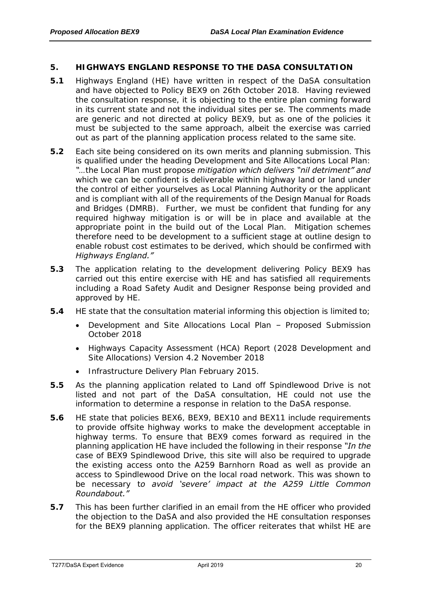# <span id="page-21-0"></span>**5. HIGHWAYS ENGLAND RESPONSE TO THE DASA CONSULTATION**

- **5.1** Highways England (HE) have written in respect of the DaSA consultation and have objected to Policy BEX9 on 26th October 2018. Having reviewed the consultation response, it is objecting to the entire plan coming forward in its current state and not the individual sites per se. The comments made are generic and not directed at policy BEX9, but as one of the policies it must be subjected to the same approach, albeit the exercise was carried out as part of the planning application process related to the same site.
- *5.2* Each site being considered on its own merits and planning submission. This is qualified under the heading Development and Site Allocations Local Plan: *"…the Local Plan must propose mitigation which delivers "nil detriment" and*  which we can be confident is deliverable within highway land or land under *the control of either yourselves as Local Planning Authority or the applicant and is compliant with all of the requirements of the Design Manual for Roads and Bridges (DMRB). Further, we must be confident that funding for any*  required highway mitigation is or will be in place and available at the *appropriate point in the build out of the Local Plan. Mitigation schemes therefore need to be development to a sufficient stage at outline design to enable robust cost estimates to be derived, which should be confirmed with Highways England."*
- **5.3** The application relating to the development delivering Policy BEX9 has carried out this entire exercise with HE and has satisfied all requirements including a Road Safety Audit and Designer Response being provided and approved by HE.
- **5.4** HE state that the consultation material informing this objection is limited to;
	- Development and Site Allocations Local Plan Proposed Submission October 2018
	- Highways Capacity Assessment (HCA) Report (2028 Development and Site Allocations) Version 4.2 November 2018
	- Infrastructure Delivery Plan February 2015.
- **5.5** As the planning application related to Land off Spindlewood Drive is not listed and not part of the DaSA consultation, HE could not use the information to determine a response in relation to the DaSA response.
- *5.6* HE state that policies BEX6, BEX9, BEX10 and BEX11 include requirements to provide offsite highway works to make the development acceptable in highway terms. To ensure that BEX9 comes forward as required in the planning application HE have included the following in their response *"In the case of BEX9 Spindlewood Drive, this site will also be required to upgrade the existing access onto the A259 Barnhorn Road as well as provide an access to Spindlewood Drive on the local road network. This was shown to be necessary to avoid 'severe' impact at the A259 Little Common Roundabout."*
- **5.7** This has been further clarified in an email from the HE officer who provided the objection to the DaSA and also provided the HE consultation responses for the BEX9 planning application. The officer reiterates that whilst HE are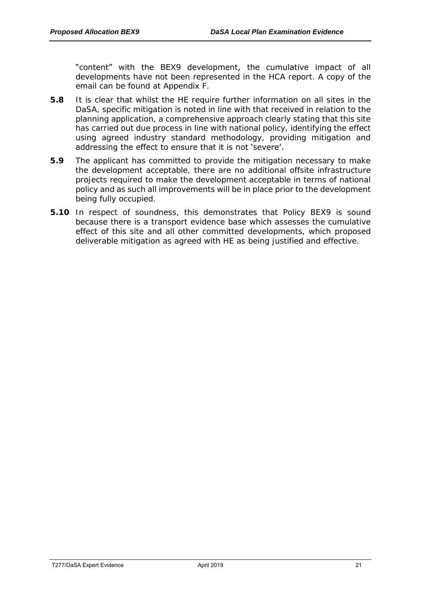"content" with the BEX9 development, the cumulative impact of all developments have not been represented in the HCA report. A copy of the email can be found at Appendix F.

- **5.8** It is clear that whilst the HE require further information on all sites in the DaSA, specific mitigation is noted in line with that received in relation to the planning application, a comprehensive approach clearly stating that this site has carried out due process in line with national policy, identifying the effect using agreed industry standard methodology, providing mitigation and addressing the effect to ensure that it is not 'severe'.
- **5.9** The applicant has committed to provide the mitigation necessary to make the development acceptable, there are no additional offsite infrastructure projects required to make the development acceptable in terms of national policy and as such all improvements will be in place prior to the development being fully occupied.
- **5.10** In respect of soundness, this demonstrates that Policy BEX9 is sound because there is a transport evidence base which assesses the cumulative effect of this site and all other committed developments, which proposed deliverable mitigation as agreed with HE as being justified and effective.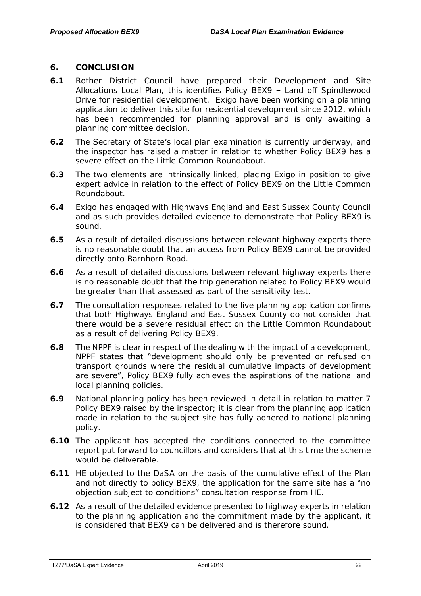#### <span id="page-23-0"></span>**6. CONCLUSION**

- **6.1** Rother District Council have prepared their Development and Site Allocations Local Plan, this identifies Policy BEX9 – Land off Spindlewood Drive for residential development. Exigo have been working on a planning application to deliver this site for residential development since 2012, which has been recommended for planning approval and is only awaiting a planning committee decision.
- **6.2** The Secretary of State's local plan examination is currently underway, and the inspector has raised a matter in relation to whether Policy BEX9 has a severe effect on the Little Common Roundabout.
- **6.3** The two elements are intrinsically linked, placing Exigo in position to give expert advice in relation to the effect of Policy BEX9 on the Little Common Roundabout.
- **6.4** Exigo has engaged with Highways England and East Sussex County Council and as such provides detailed evidence to demonstrate that Policy BEX9 is sound.
- **6.5** As a result of detailed discussions between relevant highway experts there is no reasonable doubt that an access from Policy BEX9 cannot be provided directly onto Barnhorn Road.
- **6.6** As a result of detailed discussions between relevant highway experts there is no reasonable doubt that the trip generation related to Policy BEX9 would be greater than that assessed as part of the sensitivity test.
- **6.7** The consultation responses related to the live planning application confirms that both Highways England and East Sussex County do not consider that there would be a severe residual effect on the Little Common Roundabout as a result of delivering Policy BEX9.
- **6.8** The NPPF is clear in respect of the dealing with the impact of a development, NPPF states that "development should only be prevented or refused on transport grounds where the residual cumulative impacts of development are severe", Policy BEX9 fully achieves the aspirations of the national and local planning policies.
- **6.9** National planning policy has been reviewed in detail in relation to matter 7 Policy BEX9 raised by the inspector; it is clear from the planning application made in relation to the subject site has fully adhered to national planning policy.
- **6.10** The applicant has accepted the conditions connected to the committee report put forward to councillors and considers that at this time the scheme would be deliverable.
- **6.11** HE objected to the DaSA on the basis of the cumulative effect of the Plan and not directly to policy BEX9, the application for the same site has a "no objection subject to conditions" consultation response from HE.
- **6.12** As a result of the detailed evidence presented to highway experts in relation to the planning application and the commitment made by the applicant, it is considered that BEX9 can be delivered and is therefore sound.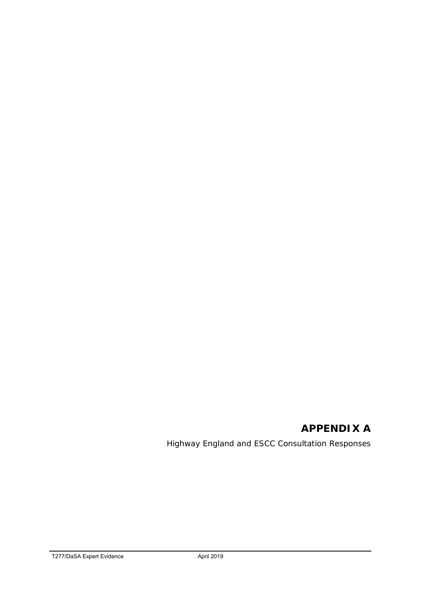# **APPENDIX A**

Highway England and ESCC Consultation Responses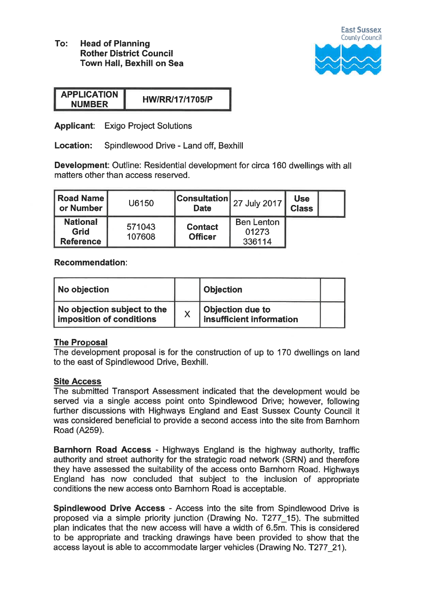To: **Head of Planning Rother District Council** Town Hall, Bexhill on Sea



| <b>APPLICATION</b> | <b>HW/RR/17/1705/P</b> |
|--------------------|------------------------|
| <b>NUMBER</b>      |                        |

**Applicant:** Exigo Project Solutions

Location: Spindlewood Drive - Land off, Bexhill

Development: Outline: Residential development for circa 160 dwellings with all matters other than access reserved.

| Road Name<br>or Number                      | U6150            | <b>Consultation</b><br><b>Date</b> | 27 July 2017                         | <b>Use</b><br><b>Class</b> |  |
|---------------------------------------------|------------------|------------------------------------|--------------------------------------|----------------------------|--|
| <b>National</b><br>Grid<br><b>Reference</b> | 571043<br>107608 | <b>Contact</b><br><b>Officer</b>   | <b>Ben Lenton</b><br>01273<br>336114 |                            |  |

# Recommendation:

| No objection                                            |   | <b>Objection</b>                                    |  |
|---------------------------------------------------------|---|-----------------------------------------------------|--|
| No objection subject to the<br>imposition of conditions | X | <b>Objection due to</b><br>insufficient information |  |

# **The Proposal**

The development proposal is for the construction of up to 170 dwellings on land to the east of Spindlewood Drive, Bexhill.

# **Site Access**

The submitted Transport Assessment indicated that the development would be served via a single access point onto Spindlewood Drive; however, following further discussions with Highways England and East Sussex County Council it was considered beneficial to provide a second access into the site from Barnhorn Road (A259).

Barnhorn Road Access - Highways England is the highway authority, traffic authority and street authority for the strategic road network (SRN) and therefore they have assessed the suitability of the access onto Barnhorn Road. Highways England has now concluded that subject to the inclusion of appropriate conditions the new access onto Barnhorn Road is acceptable.

Spindlewood Drive Access - Access into the site from Spindlewood Drive is proposed via a simple priority junction (Drawing No. T277 15). The submitted plan indicates that the new access will have a width of 6.5m. This is considered to be appropriate and tracking drawings have been provided to show that the access layout is able to accommodate larger vehicles (Drawing No. T277 21).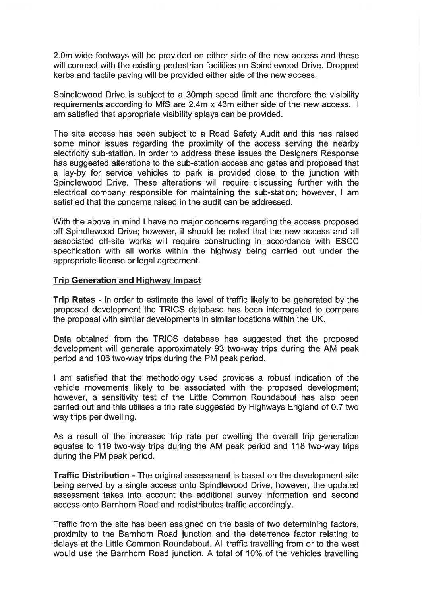2.0m wide footways will be provided on either side of the new access and these will connect with the existing pedestrian facilities on Spindlewood Drive. Dropped kerbs and tactile paving will be provided either side of the new access.

Spindlewood Drive is subject to a 30mph speed limit and therefore the visibility requirements according to MfS are 2.4m x 43m either side of the new access. I am satisfied that appropriate visibility splays can be provided.

The site access has been subject to a Road Safety Audit and this has raised some minor issues regarding the proximity of the access serving the nearby electricity sub-station. In order to address these issues the Designers Response has suggested alterations to the sub-station access and gates and proposed that a lay-by for service vehicles to park is provided close to the junction with Spindlewood Drive. These alterations will require discussing further with the electrical company responsible for maintaining the sub-station; however, I am satisfied that the concerns raised in the audit can be addressed.

With the above in mind I have no major concerns regarding the access proposed off Spindlewood Drive; however, it should be noted that the new access and all associated off-site works will require constructing in accordance with ESCC specification with all works within the highway being carried out under the appropriate license or legal agreement.

# **Trip Generation and Highway Impact**

Trip Rates - In order to estimate the level of traffic likely to be generated by the proposed development the TRICS database has been interrogated to compare the proposal with similar developments in similar locations within the UK.

Data obtained from the TRICS database has suggested that the proposed development will generate approximately 93 two-way trips during the AM peak period and 106 two-way trips during the PM peak period.

I am satisfied that the methodology used provides a robust indication of the vehicle movements likely to be associated with the proposed development: however, a sensitivity test of the Little Common Roundabout has also been carried out and this utilises a trip rate suggested by Highways England of 0.7 two way trips per dwelling.

As a result of the increased trip rate per dwelling the overall trip generation equates to 119 two-way trips during the AM peak period and 118 two-way trips during the PM peak period.

**Traffic Distribution - The original assessment is based on the development site** being served by a single access onto Spindlewood Drive; however, the updated assessment takes into account the additional survey information and second access onto Barnhorn Road and redistributes traffic accordingly.

Traffic from the site has been assigned on the basis of two determining factors. proximity to the Barnhorn Road junction and the deterrence factor relating to delays at the Little Common Roundabout. All traffic travelling from or to the west would use the Barnhorn Road junction. A total of 10% of the vehicles travelling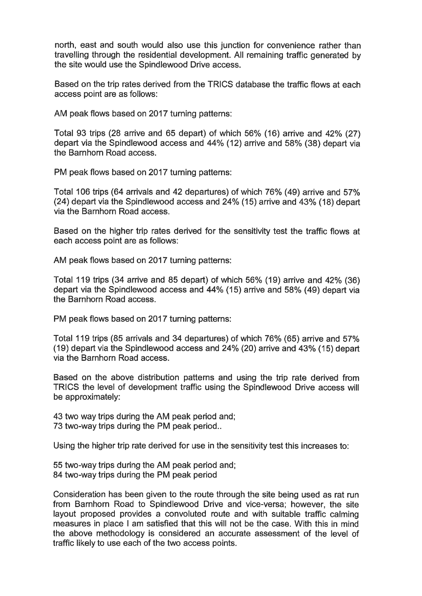north, east and south would also use this junction for convenience rather than travelling through the residential development. All remaining traffic generated by the site would use the Spindlewood Drive access.

Based on the trip rates derived from the TRICS database the traffic flows at each access point are as follows:

AM peak flows based on 2017 turning patterns:

Total 93 trips (28 arrive and 65 depart) of which 56% (16) arrive and 42% (27) depart via the Spindlewood access and 44% (12) arrive and 58% (38) depart via the Barnhorn Road access.

PM peak flows based on 2017 turning patterns:

Total 106 trips (64 arrivals and 42 departures) of which 76% (49) arrive and 57% (24) depart via the Spindlewood access and 24% (15) arrive and 43% (18) depart via the Barnhorn Road access.

Based on the higher trip rates derived for the sensitivity test the traffic flows at each access point are as follows:

AM peak flows based on 2017 turning patterns:

Total 119 trips (34 arrive and 85 depart) of which 56% (19) arrive and 42% (36) depart via the Spindlewood access and 44% (15) arrive and 58% (49) depart via the Barnhorn Road access.

PM peak flows based on 2017 turning patterns:

Total 119 trips (85 arrivals and 34 departures) of which 76% (65) arrive and 57% (19) depart via the Spindlewood access and 24% (20) arrive and 43% (15) depart via the Barnhorn Road access.

Based on the above distribution patterns and using the trip rate derived from TRICS the level of development traffic using the Spindlewood Drive access will be approximately:

43 two way trips during the AM peak period and; 73 two-way trips during the PM peak period..

Using the higher trip rate derived for use in the sensitivity test this increases to:

55 two-way trips during the AM peak period and: 84 two-way trips during the PM peak period

Consideration has been given to the route through the site being used as rat run from Barnhorn Road to Spindlewood Drive and vice-versa; however, the site layout proposed provides a convoluted route and with suitable traffic calming measures in place I am satisfied that this will not be the case. With this in mind the above methodology is considered an accurate assessment of the level of traffic likely to use each of the two access points.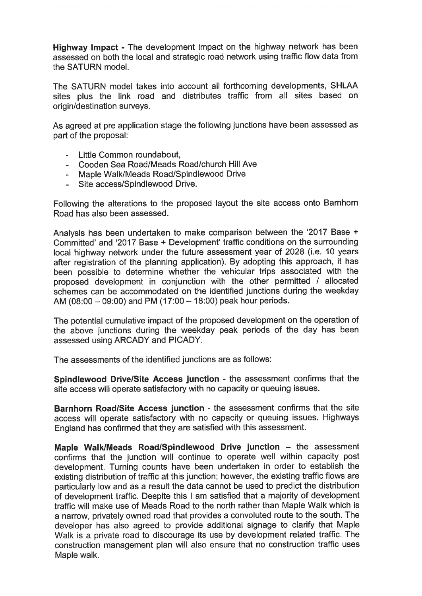Highway Impact - The development impact on the highway network has been assessed on both the local and strategic road network using traffic flow data from the SATURN model

The SATURN model takes into account all forthcoming developments, SHLAA sites plus the link road and distributes traffic from all sites based on origin/destination surveys.

As agreed at pre application stage the following junctions have been assessed as part of the proposal:

- Little Common roundabout.
- Cooden Sea Road/Meads Road/church Hill Ave
- Maple Walk/Meads Road/Spindlewood Drive
- Site access/Spindlewood Drive.

Following the alterations to the proposed layout the site access onto Barnhorn Road has also been assessed.

Analysis has been undertaken to make comparison between the '2017 Base + Committed' and '2017 Base + Development' traffic conditions on the surrounding local highway network under the future assessment year of 2028 (i.e. 10 years after registration of the planning application). By adopting this approach, it has been possible to determine whether the vehicular trips associated with the proposed development in conjunction with the other permitted / allocated schemes can be accommodated on the identified junctions during the weekday AM (08:00 - 09:00) and PM (17:00 - 18:00) peak hour periods.

The potential cumulative impact of the proposed development on the operation of the above junctions during the weekday peak periods of the day has been assessed using ARCADY and PICADY.

The assessments of the identified junctions are as follows:

Spindlewood Drive/Site Access junction - the assessment confirms that the site access will operate satisfactory with no capacity or queuing issues.

Barnhorn Road/Site Access junction - the assessment confirms that the site access will operate satisfactory with no capacity or queuing issues. Highways England has confirmed that they are satisfied with this assessment.

Maple Walk/Meads Road/Spindlewood Drive junction - the assessment confirms that the junction will continue to operate well within capacity post development. Turning counts have been undertaken in order to establish the existing distribution of traffic at this junction; however, the existing traffic flows are particularly low and as a result the data cannot be used to predict the distribution of development traffic. Despite this I am satisfied that a majority of development traffic will make use of Meads Road to the north rather than Maple Walk which is a narrow, privately owned road that provides a convoluted route to the south. The developer has also agreed to provide additional signage to clarify that Maple Walk is a private road to discourage its use by development related traffic. The construction management plan will also ensure that no construction traffic uses Maple walk.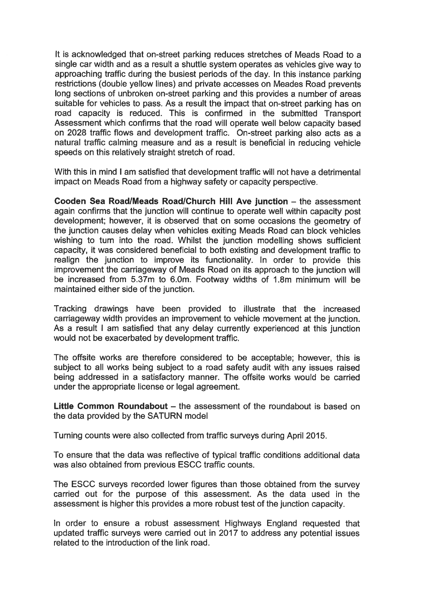It is acknowledged that on-street parking reduces stretches of Meads Road to a single car width and as a result a shuttle system operates as vehicles give way to approaching traffic during the busiest periods of the day. In this instance parking restrictions (double yellow lines) and private accesses on Meades Road prevents long sections of unbroken on-street parking and this provides a number of areas suitable for vehicles to pass. As a result the impact that on-street parking has on road capacity is reduced. This is confirmed in the submitted Transport Assessment which confirms that the road will operate well below capacity based on 2028 traffic flows and development traffic. On-street parking also acts as a natural traffic calming measure and as a result is beneficial in reducing vehicle speeds on this relatively straight stretch of road.

With this in mind I am satisfied that development traffic will not have a detrimental impact on Meads Road from a highway safety or capacity perspective.

Cooden Sea Road/Meads Road/Church Hill Ave junction - the assessment again confirms that the junction will continue to operate well within capacity post development: however, it is observed that on some occasions the geometry of the junction causes delay when vehicles exiting Meads Road can block vehicles wishing to turn into the road. Whilst the junction modelling shows sufficient capacity, it was considered beneficial to both existing and development traffic to realign the junction to improve its functionality. In order to provide this improvement the carriageway of Meads Road on its approach to the junction will be increased from 5.37m to 6.0m. Footway widths of 1.8m minimum will be maintained either side of the junction.

Tracking drawings have been provided to illustrate that the increased carriageway width provides an improvement to vehicle movement at the junction. As a result I am satisfied that any delay currently experienced at this junction would not be exacerbated by development traffic.

The offsite works are therefore considered to be acceptable; however, this is subject to all works being subject to a road safety audit with any issues raised being addressed in a satisfactory manner. The offsite works would be carried under the appropriate license or legal agreement.

Little Common Roundabout - the assessment of the roundabout is based on the data provided by the SATURN model

Turning counts were also collected from traffic surveys during April 2015.

To ensure that the data was reflective of typical traffic conditions additional data was also obtained from previous ESCC traffic counts.

The ESCC surveys recorded lower figures than those obtained from the survey carried out for the purpose of this assessment. As the data used in the assessment is higher this provides a more robust test of the junction capacity.

In order to ensure a robust assessment Highways England requested that updated traffic surveys were carried out in 2017 to address any potential issues related to the introduction of the link road.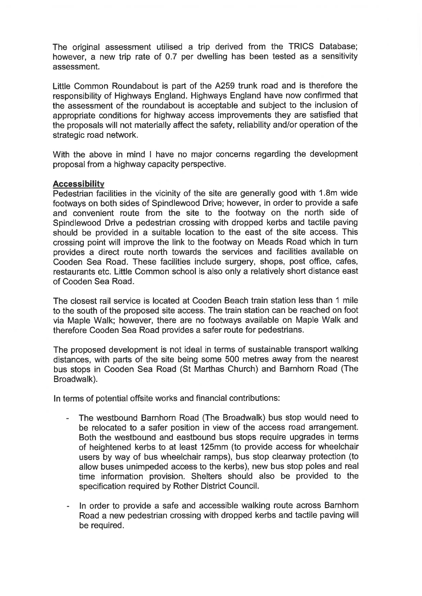The original assessment utilised a trip derived from the TRICS Database; however, a new trip rate of 0.7 per dwelling has been tested as a sensitivity assessment.

Little Common Roundabout is part of the A259 trunk road and is therefore the responsibility of Highways England. Highways England have now confirmed that the assessment of the roundabout is acceptable and subiect to the inclusion of appropriate conditions for highway access improvements they are satisfied that the proposals will not materially affect the safety, reliability and/or operation of the strategic road network.

With the above in mind I have no major concerns regarding the development proposal from a highway capacity perspective.

#### **Accessibility**

Pedestrian facilities in the vicinity of the site are generally good with 1.8m wide footways on both sides of Spindlewood Drive; however, in order to provide a safe and convenient route from the site to the footway on the north side of Spindlewood Drive a pedestrian crossing with dropped kerbs and tactile paving should be provided in a suitable location to the east of the site access. This crossing point will improve the link to the footway on Meads Road which in turn provides a direct route north towards the services and facilities available on Cooden Sea Road. These facilities include surgery, shops, post office, cafes, restaurants etc. Little Common school is also only a relatively short distance east of Cooden Sea Road.

The closest rail service is located at Cooden Beach train station less than 1 mile to the south of the proposed site access. The train station can be reached on foot via Maple Walk; however, there are no footways available on Maple Walk and therefore Cooden Sea Road provides a safer route for pedestrians.

The proposed development is not ideal in terms of sustainable transport walking distances, with parts of the site being some 500 metres away from the nearest bus stops in Cooden Sea Road (St Marthas Church) and Barnhorn Road (The Broadwalk).

In terms of potential offsite works and financial contributions:

- The westbound Barnhorn Road (The Broadwalk) bus stop would need to  $\bar{\phantom{a}}$ be relocated to a safer position in view of the access road arrangement. Both the westbound and eastbound bus stops require upgrades in terms of heightened kerbs to at least 125mm (to provide access for wheelchair users by way of bus wheelchair ramps), bus stop clearway protection (to allow buses unimpeded access to the kerbs), new bus stop poles and real time information provision. Shelters should also be provided to the specification required by Rother District Council.
- In order to provide a safe and accessible walking route across Barnhorn  $\sim$ Road a new pedestrian crossing with dropped kerbs and tactile paving will be required.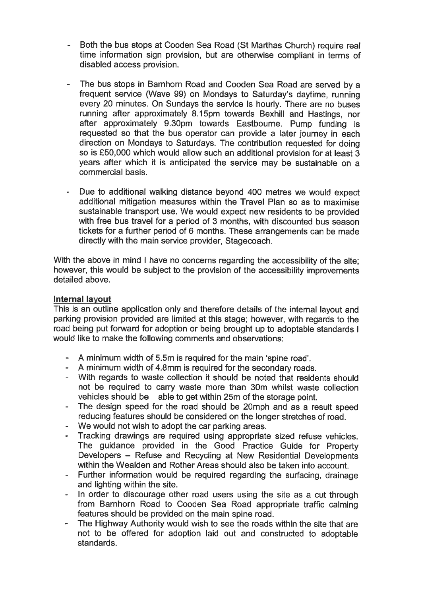- Both the bus stops at Cooden Sea Road (St Marthas Church) require real time information sign provision, but are otherwise compliant in terms of disabled access provision.
- The bus stops in Barnhorn Road and Cooden Sea Road are served by a frequent service (Wave 99) on Mondays to Saturday's daytime, running every 20 minutes. On Sundays the service is hourly. There are no buses running after approximately 8.15pm towards Bexhill and Hastings, nor after approximately 9.30pm towards Eastbourne. Pump funding is requested so that the bus operator can provide a later journey in each direction on Mondays to Saturdays. The contribution requested for doing so is £50,000 which would allow such an additional provision for at least 3 years after which it is anticipated the service may be sustainable on a commercial basis.
- Due to additional walking distance beyond 400 metres we would expect additional mitigation measures within the Travel Plan so as to maximise sustainable transport use. We would expect new residents to be provided with free bus travel for a period of 3 months, with discounted bus season tickets for a further period of 6 months. These arrangements can be made directly with the main service provider, Stagecoach.

With the above in mind I have no concerns regarding the accessibility of the site: however, this would be subject to the provision of the accessibility improvements detailed above.

# **Internal layout**

This is an outline application only and therefore details of the internal layout and parking provision provided are limited at this stage; however, with regards to the road being put forward for adoption or being brought up to adoptable standards I would like to make the following comments and observations:

- A minimum width of 5.5m is required for the main 'spine road'.
- A minimum width of 4.8mm is required for the secondary roads.
- With regards to waste collection it should be noted that residents should  $\omega_{\rm{max}}$ not be required to carry waste more than 30m whilst waste collection vehicles should be able to get within 25m of the storage point.
- The design speed for the road should be 20mph and as a result speed reducing features should be considered on the longer stretches of road.
- We would not wish to adopt the car parking areas.
- Tracking drawings are required using appropriate sized refuse vehicles. The guidance provided in the Good Practice Guide for Property Developers – Refuse and Recycling at New Residential Developments within the Wealden and Rother Areas should also be taken into account.
- Further information would be required regarding the surfacing, drainage  $\sim 10$ and lighting within the site.
- In order to discourage other road users using the site as a cut through  $\overline{\phantom{a}}$ from Barnhorn Road to Cooden Sea Road appropriate traffic calming features should be provided on the main spine road.
- The Highway Authority would wish to see the roads within the site that are not to be offered for adoption laid out and constructed to adoptable standards.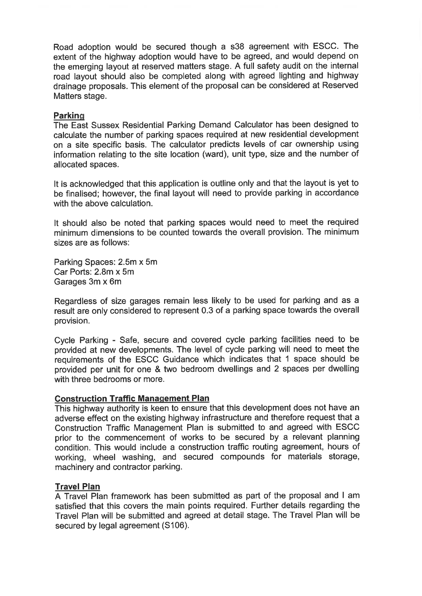Road adoption would be secured though a s38 agreement with ESCC. The extent of the highway adoption would have to be agreed, and would depend on the emerging layout at reserved matters stage. A full safety audit on the internal road layout should also be completed along with agreed lighting and highway drainage proposals. This element of the proposal can be considered at Reserved Matters stage.

# Parking

The East Sussex Residential Parking Demand Calculator has been designed to calculate the number of parking spaces required at new residential development on a site specific basis. The calculator predicts levels of car ownership using information relating to the site location (ward), unit type, size and the number of allocated spaces.

It is acknowledged that this application is outline only and that the layout is yet to be finalised; however, the final layout will need to provide parking in accordance with the above calculation.

It should also be noted that parking spaces would need to meet the required minimum dimensions to be counted towards the overall provision. The minimum sizes are as follows:

Parking Spaces: 2.5m x 5m Car Ports: 2.8m x 5m Garages 3m x 6m

Regardless of size garages remain less likely to be used for parking and as a result are only considered to represent 0.3 of a parking space towards the overall provision.

Cycle Parking - Safe, secure and covered cycle parking facilities need to be provided at new developments. The level of cycle parking will need to meet the requirements of the ESCC Guidance which indicates that 1 space should be provided per unit for one & two bedroom dwellings and 2 spaces per dwelling with three bedrooms or more.

#### **Construction Traffic Management Plan**

This highway authority is keen to ensure that this development does not have an adverse effect on the existing highway infrastructure and therefore request that a Construction Traffic Management Plan is submitted to and agreed with ESCC prior to the commencement of works to be secured by a relevant planning condition. This would include a construction traffic routing agreement, hours of working, wheel washing, and secured compounds for materials storage, machinery and contractor parking.

# **Travel Plan**

A Travel Plan framework has been submitted as part of the proposal and I am satisfied that this covers the main points required. Further details regarding the Travel Plan will be submitted and agreed at detail stage. The Travel Plan will be secured by legal agreement (S106).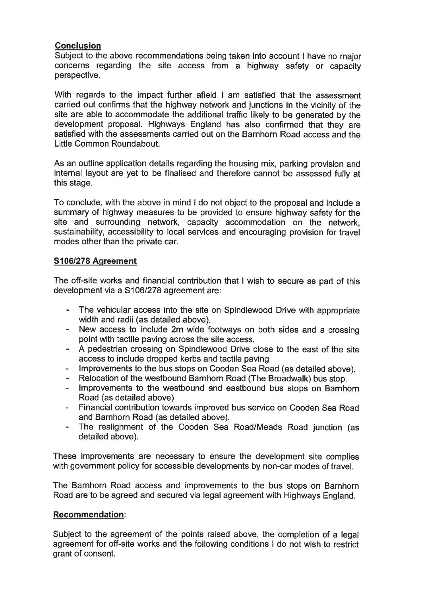# **Conclusion**

Subiect to the above recommendations being taken into account I have no major concerns regarding the site access from a highway safety or capacity perspective.

With regards to the impact further afield I am satisfied that the assessment carried out confirms that the highway network and junctions in the vicinity of the site are able to accommodate the additional traffic likely to be generated by the development proposal. Highways England has also confirmed that they are satisfied with the assessments carried out on the Barnhorn Road access and the Little Common Roundabout.

As an outline application details regarding the housing mix, parking provision and internal layout are yet to be finalised and therefore cannot be assessed fully at this stage.

To conclude, with the above in mind I do not object to the proposal and include a summary of highway measures to be provided to ensure highway safety for the site and surrounding network, capacity accommodation on the network, sustainability, accessibility to local services and encouraging provision for travel modes other than the private car.

# S106/278 Agreement

The off-site works and financial contribution that I wish to secure as part of this development via a S106/278 agreement are:

- The vehicular access into the site on Spindlewood Drive with appropriate width and radii (as detailed above).
- New access to include 2m wide footways on both sides and a crossing  $\sim$  10  $\pm$ point with tactile paving across the site access.
- $\mathcal{L}^{\pm}$ A pedestrian crossing on Spindlewood Drive close to the east of the site access to include dropped kerbs and tactile paving
- Improvements to the bus stops on Cooden Sea Road (as detailed above).
- Relocation of the westbound Barnhorn Road (The Broadwalk) bus stop.
- Improvements to the westbound and eastbound bus stops on Barnhorn Road (as detailed above)
- Financial contribution towards improved bus service on Cooden Sea Road  $\sim 100$ and Barnhorn Road (as detailed above).
- The realignment of the Cooden Sea Road/Meads Road junction (as  $\sim 10^{-11}$ detailed above).

These improvements are necessary to ensure the development site complies with government policy for accessible developments by non-car modes of travel.

The Barnhorn Road access and improvements to the bus stops on Barnhorn Road are to be agreed and secured via legal agreement with Highways England.

# **Recommendation:**

Subject to the agreement of the points raised above, the completion of a legal agreement for off-site works and the following conditions I do not wish to restrict grant of consent.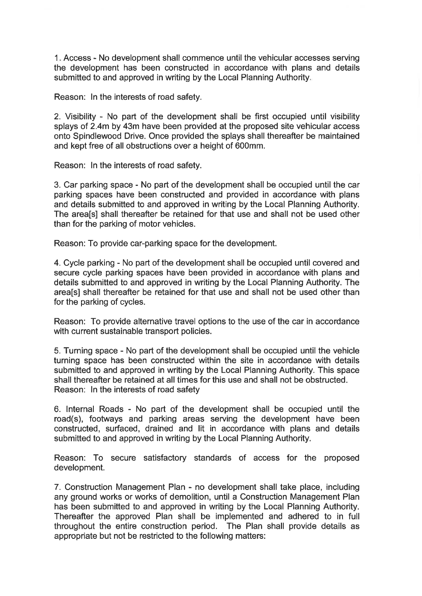1. Access - No development shall commence until the vehicular accesses serving the development has been constructed in accordance with plans and details submitted to and approved in writing by the Local Planning Authority.

Reason: In the interests of road safety.

2. Visibility - No part of the development shall be first occupied until visibility splays of 2.4m by 43m have been provided at the proposed site vehicular access onto Spindlewood Drive. Once provided the splays shall thereafter be maintained and kept free of all obstructions over a height of 600mm.

Reason: In the interests of road safety.

3. Car parking space - No part of the development shall be occupied until the car parking spaces have been constructed and provided in accordance with plans and details submitted to and approved in writing by the Local Planning Authority. The area[s] shall thereafter be retained for that use and shall not be used other than for the parking of motor vehicles.

Reason: To provide car-parking space for the development.

4. Cycle parking - No part of the development shall be occupied until covered and secure cycle parking spaces have been provided in accordance with plans and details submitted to and approved in writing by the Local Planning Authority. The areals] shall thereafter be retained for that use and shall not be used other than for the parking of cycles.

Reason: To provide alternative travel options to the use of the car in accordance with current sustainable transport policies.

5. Turning space - No part of the development shall be occupied until the vehicle turning space has been constructed within the site in accordance with details submitted to and approved in writing by the Local Planning Authority. This space shall thereafter be retained at all times for this use and shall not be obstructed. Reason: In the interests of road safety

6. Internal Roads - No part of the development shall be occupied until the road(s), footways and parking areas serving the development have been constructed, surfaced, drained and lit in accordance with plans and details submitted to and approved in writing by the Local Planning Authority.

Reason: To secure satisfactory standards of access for the proposed development.

7. Construction Management Plan - no development shall take place, including any ground works or works of demolition, until a Construction Management Plan has been submitted to and approved in writing by the Local Planning Authority. Thereafter the approved Plan shall be implemented and adhered to in full throughout the entire construction period. The Plan shall provide details as appropriate but not be restricted to the following matters: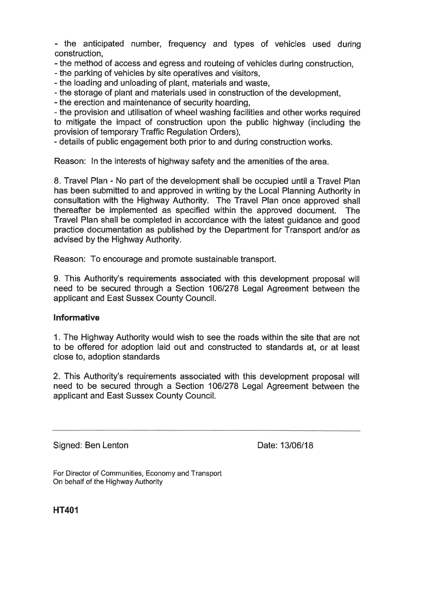- the anticipated number, frequency and types of vehicles used during construction.

- the method of access and egress and routeing of vehicles during construction.

- the parking of vehicles by site operatives and visitors.

- the loading and unloading of plant, materials and waste,

- the storage of plant and materials used in construction of the development.

- the erection and maintenance of security hoarding.

- the provision and utilisation of wheel washing facilities and other works required to mitigate the impact of construction upon the public highway (including the provision of temporary Traffic Regulation Orders),

- details of public engagement both prior to and during construction works.

Reason: In the interests of highway safety and the amenities of the area.

8. Travel Plan - No part of the development shall be occupied until a Travel Plan has been submitted to and approved in writing by the Local Planning Authority in consultation with the Highway Authority. The Travel Plan once approved shall thereafter be implemented as specified within the approved document. **The** Travel Plan shall be completed in accordance with the latest quidance and good practice documentation as published by the Department for Transport and/or as advised by the Highway Authority.

Reason: To encourage and promote sustainable transport.

9. This Authority's requirements associated with this development proposal will need to be secured through a Section 106/278 Legal Agreement between the applicant and East Sussex County Council.

# **Informative**

1. The Highway Authority would wish to see the roads within the site that are not to be offered for adoption laid out and constructed to standards at, or at least close to, adoption standards

2. This Authority's requirements associated with this development proposal will need to be secured through a Section 106/278 Legal Agreement between the applicant and East Sussex County Council.

Signed: Ben Lenton

Date: 13/06/18

For Director of Communities, Economy and Transport On behalf of the Highway Authority

**HT401**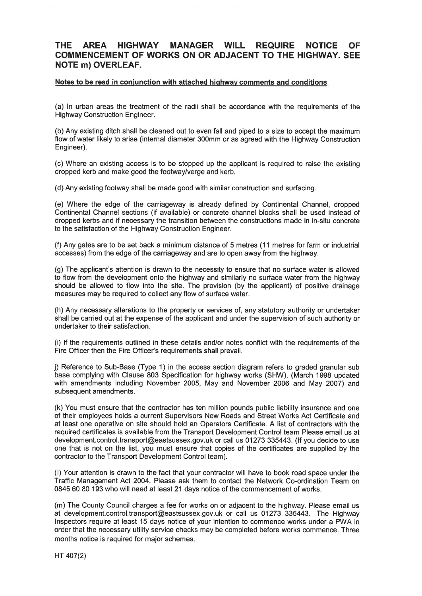#### **THE** AREA HIGHWAY **MANAGER WILL REQUIRE NOTICE OF COMMENCEMENT OF WORKS ON OR ADJACENT TO THE HIGHWAY, SEE NOTE m) OVERLEAF.**

#### Notes to be read in conjunction with attached highway comments and conditions

(a) In urban areas the treatment of the radii shall be accordance with the requirements of the **Highway Construction Engineer.** 

(b) Any existing ditch shall be cleaned out to even fall and piped to a size to accept the maximum flow of water likely to arise (internal diameter 300mm or as agreed with the Highway Construction Engineer).

(c) Where an existing access is to be stopped up the applicant is required to raise the existing dropped kerb and make good the footway/verge and kerb.

(d) Any existing footway shall be made good with similar construction and surfacing.

(e) Where the edge of the carriageway is already defined by Continental Channel, dropped Continental Channel sections (if available) or concrete channel blocks shall be used instead of dropped kerbs and if necessary the transition between the constructions made in in-situ concrete to the satisfaction of the Highway Construction Engineer.

(f) Any gates are to be set back a minimum distance of 5 metres (11 metres for farm or industrial accesses) from the edge of the carriageway and are to open away from the highway.

(g) The applicant's attention is drawn to the necessity to ensure that no surface water is allowed to flow from the development onto the highway and similarly no surface water from the highway should be allowed to flow into the site. The provision (by the applicant) of positive drainage measures may be required to collect any flow of surface water.

(h) Any necessary alterations to the property or services of, any statutory authority or undertaker shall be carried out at the expense of the applicant and under the supervision of such authority or undertaker to their satisfaction.

(i) If the requirements outlined in these details and/or notes conflict with the requirements of the Fire Officer then the Fire Officer's requirements shall prevail.

j) Reference to Sub-Base (Type 1) in the access section diagram refers to graded granular sub base complying with Clause 803 Specification for highway works (SHW). (March 1998 updated with amendments including November 2005, May and November 2006 and May 2007) and subsequent amendments.

(k) You must ensure that the contractor has ten million pounds public liability insurance and one of their employees holds a current Supervisors New Roads and Street Works Act Certificate and at least one operative on site should hold an Operators Certificate. A list of contractors with the required certificates is available from the Transport Development Control team Please email us at development.control.transport@eastsussex.gov.uk or call us 01273 335443. (If you decide to use one that is not on the list, you must ensure that copies of the certificates are supplied by the contractor to the Transport Development Control team).

(I) Your attention is drawn to the fact that your contractor will have to book road space under the Traffic Management Act 2004. Please ask them to contact the Network Co-ordination Team on 0845 60 80 193 who will need at least 21 days notice of the commencement of works.

(m) The County Council charges a fee for works on or adjacent to the highway. Please email us at development.control.transport@eastsussex.gov.uk or call us 01273 335443. The Highway Inspectors require at least 15 days notice of your intention to commence works under a PWA in order that the necessary utility service checks may be completed before works commence. Three months notice is required for major schemes.

HT 407(2)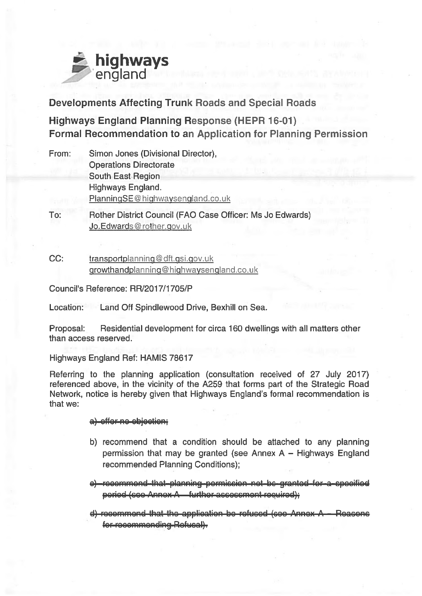

**Developments Affecting Trunk Roads and Special Roads** 

**Highways England Planning Response (HEPR 16-01) Formal Recommendation to an Application for Planning Permission** 

- From: Simon Jones (Divisional Director). **Operations Directorate** South East Region Highways England. PlanningSE@highwaysengland.co.uk
- To: Rother District Council (FAO Case Officer: Ms Jo Edwards) Jo.Edwards@rother.gov.uk
- $CC:$ transportplanning@dft.gsi.gov.uk growthandplanning@highwaysengland.co.uk

Council's Reference: RR/2017/1705/P

Land Off Spindlewood Drive, Bexhill on Sea. Location:

Proposal: Residential development for circa 160 dwellings with all matters other than access reserved.

Highways England Ref: HAMIS 78617

Referring to the planning application (consultation received of 27 July 2017) referenced above, in the vicinity of the A259 that forms part of the Strategic Road Network, notice is hereby given that Highways England's formal recommendation is that we:

#### a) offer no objection:

- b) recommend that a condition should be attached to any planning permission that may be granted (see Annex  $A - H$ ighways England recommended Planning Conditions);
- e) recommend that planning pormission not be granted for a specified peried (coo Annox A further accocement required);
- $d$ ) recommend that the application be refused (see Annex  $A -$  Reasons for-recommonding-Rofucal).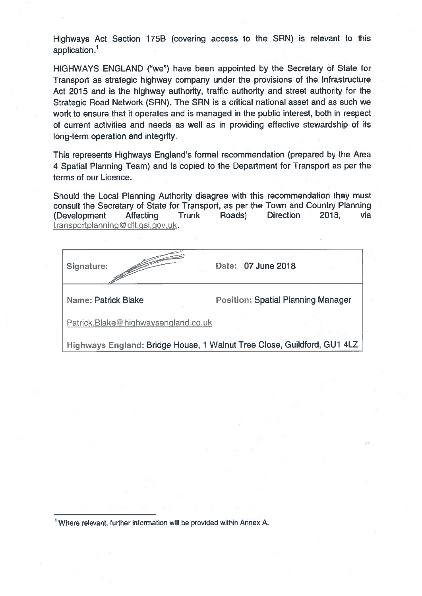Highways Act Section 175B (covering access to the SRN) is relevant to this application.<sup>1</sup>

HIGHWAYS ENGLAND ("we") have been appointed by the Secretary of State for Transport as strategic highway company under the provisions of the Infrastructure Act 2015 and is the highway authority, traffic authority and street authority for the Strategic Road Network (SRN). The SRN is a critical national asset and as such we work to ensure that it operates and is managed in the public interest, both in respect of current activities and needs as well as in providing effective stewardship of its long-term operation and integrity.

This represents Highways England's formal recommendation (prepared by the Area 4 Spatial Planning Team) and is copied to the Department for Transport as per the terms of our Licence.

Should the Local Planning Authority disagree with this recommendation they must consult the Secretary of State for Transport, as per the Town and Country Planning (Development **Affecting** Trunk Roads) Direction 2018. via transportplanning@dft.gsi.gov.uk.

| Signature:                                                              | Date: 07 June 2018                        |  |
|-------------------------------------------------------------------------|-------------------------------------------|--|
| Name: Patrick Blake                                                     | <b>Position: Spatial Planning Manager</b> |  |
| Patrick.Blake@highwaysengland.co.uk                                     |                                           |  |
| Highways England: Bridge House, 1 Walnut Tree Close, Guildford, GU1 4LZ |                                           |  |

<sup>1</sup> Where relevant, further information will be provided within Annex A.